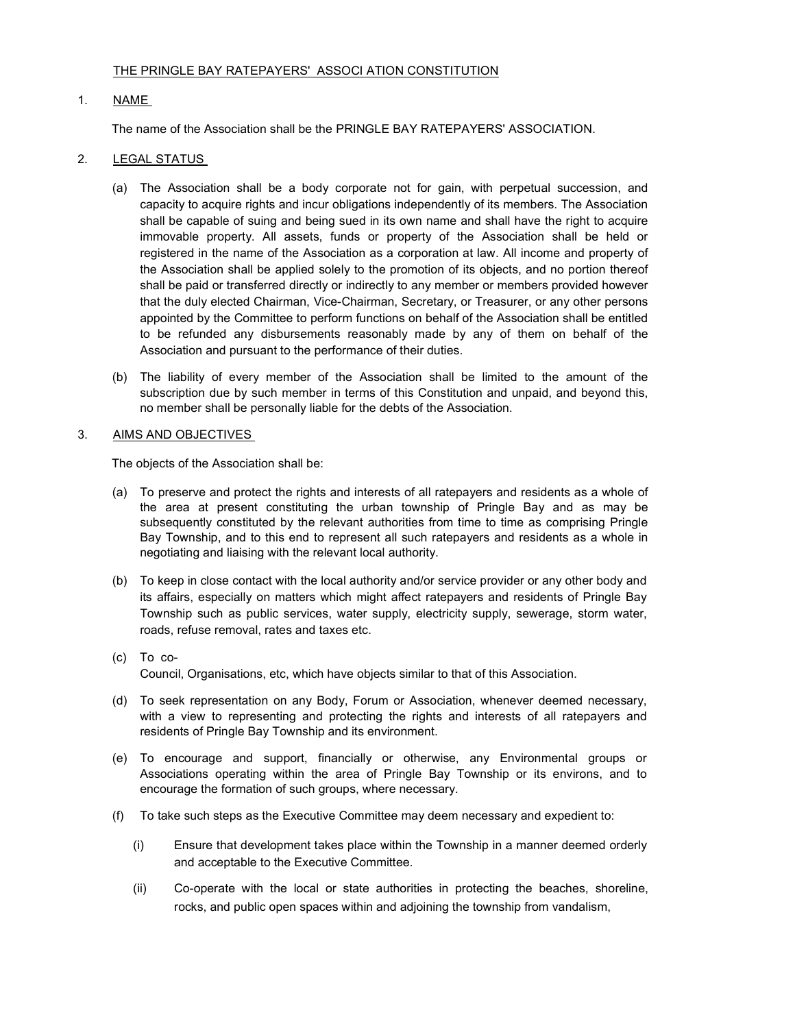## THE PRINGLE BAY RATEPAYERS' ASSOCI ATION CONSTITUTION

# 1. NAME

The name of the Association shall be the PRINGLE BAY RATEPAYERS' ASSOCIATION.

# 2. LEGAL STATUS

- (a) The Association shall be a body corporate not for gain, with perpetual succession, and capacity to acquire rights and incur obligations independently of its members. The Association shall be capable of suing and being sued in its own name and shall have the right to acquire immovable property. All assets, funds or property of the Association shall be held or registered in the name of the Association as a corporation at law. All income and property of the Association shall be applied solely to the promotion of its objects, and no portion thereof shall be paid or transferred directly or indirectly to any member or members provided however that the duly elected Chairman, Vice-Chairman, Secretary, or Treasurer, or any other persons appointed by the Committee to perform functions on behalf of the Association shall be entitled to be refunded any disbursements reasonably made by any of them on behalf of the Association and pursuant to the performance of their duties.
- (b) The liability of every member of the Association shall be limited to the amount of the subscription due by such member in terms of this Constitution and unpaid, and beyond this, no member shall be personally liable for the debts of the Association.

## 3. AIMS AND OBJECTIVES

The objects of the Association shall be:

- (a) To preserve and protect the rights and interests of all ratepayers and residents as a whole of the area at present constituting the urban township of Pringle Bay and as may be subsequently constituted by the relevant authorities from time to time as comprising Pringle Bay Township, and to this end to represent all such ratepayers and residents as a whole in negotiating and liaising with the relevant local authority.
- (b) To keep in close contact with the local authority and/or service provider or any other body and its affairs, especially on matters which might affect ratepayers and residents of Pringle Bay Township such as public services, water supply, electricity supply, sewerage, storm water, roads, refuse removal, rates and taxes etc.
- (c) To co-Council, Organisations, etc, which have objects similar to that of this Association.
- (d) To seek representation on any Body, Forum or Association, whenever deemed necessary, with a view to representing and protecting the rights and interests of all ratepayers and residents of Pringle Bay Township and its environment.
- (e) To encourage and support, financially or otherwise, any Environmental groups or Associations operating within the area of Pringle Bay Township or its environs, and to encourage the formation of such groups, where necessary.
- (f) To take such steps as the Executive Committee may deem necessary and expedient to:
	- (i) Ensure that development takes place within the Township in a manner deemed orderly and acceptable to the Executive Committee.
	- (ii) Co-operate with the local or state authorities in protecting the beaches, shoreline, rocks, and public open spaces within and adjoining the township from vandalism,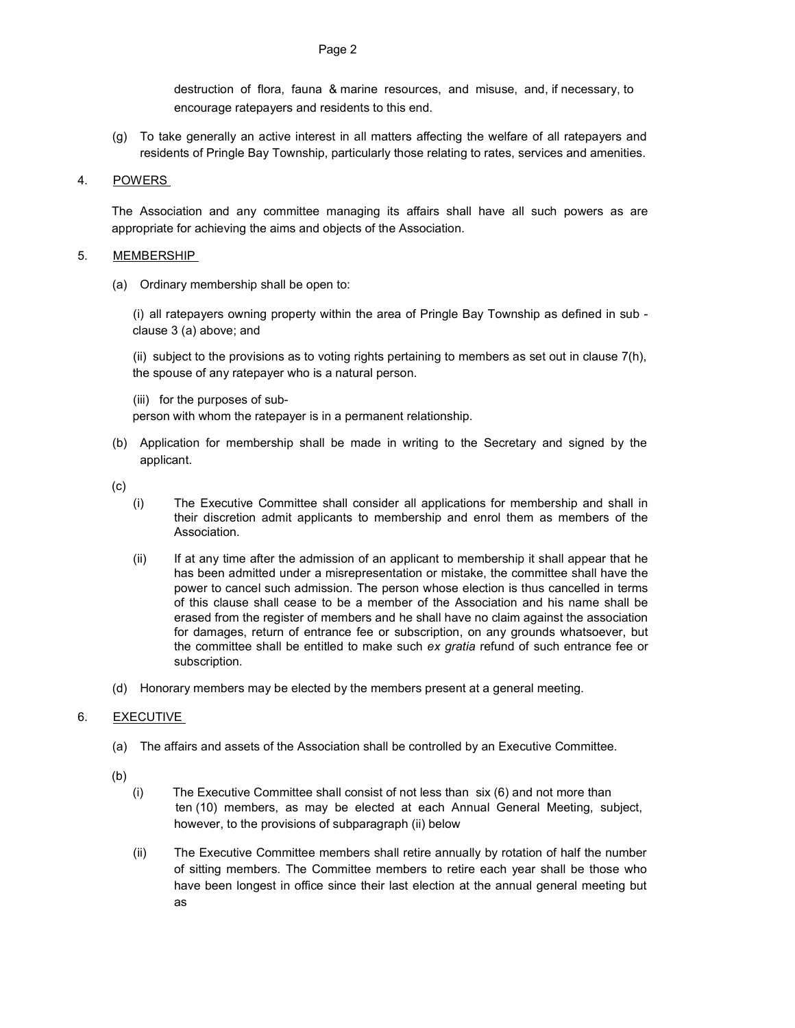destruction of flora, fauna & marine resources, and misuse, and, if necessary, to encourage ratepayers and residents to this end.

(g) To take generally an active interest in all matters affecting the welfare of all ratepayers and residents of Pringle Bay Township, particularly those relating to rates, services and amenities.

## 4. POWERS

The Association and any committee managing its affairs shall have all such powers as are appropriate for achieving the aims and objects of the Association.

#### 5. MEMBERSHIP

(a) Ordinary membership shall be open to:

(i) all ratepayers owning property within the area of Pringle Bay Township as defined in sub clause 3 (a) above; and

(ii) subject to the provisions as to voting rights pertaining to members as set out in clause 7(h), the spouse of any ratepayer who is a natural person.

(iii) for the purposes of sub-

person with whom the ratepayer is in a permanent relationship.

(b) Application for membership shall be made in writing to the Secretary and signed by the applicant.

(c)

- (i) The Executive Committee shall consider all applications for membership and shall in their discretion admit applicants to membership and enrol them as members of the Association.
- (ii) If at any time after the admission of an applicant to membership it shall appear that he has been admitted under a misrepresentation or mistake, the committee shall have the power to cancel such admission. The person whose election is thus cancelled in terms of this clause shall cease to be a member of the Association and his name shall be erased from the register of members and he shall have no claim against the association for damages, return of entrance fee or subscription, on any grounds whatsoever, but the committee shall be entitled to make such ex gratia refund of such entrance fee or subscription.
- (d) Honorary members may be elected by the members present at a general meeting.

## 6. EXECUTIVE

- (a) The affairs and assets of the Association shall be controlled by an Executive Committee.
- (b)
	- (i) The Executive Committee shall consist of not less than six (6) and not more than ten (10) members, as may be elected at each Annual General Meeting, subject, however, to the provisions of subparagraph (ii) below
	- (ii) The Executive Committee members shall retire annually by rotation of half the number of sitting members. The Committee members to retire each year shall be those who have been longest in office since their last election at the annual general meeting but as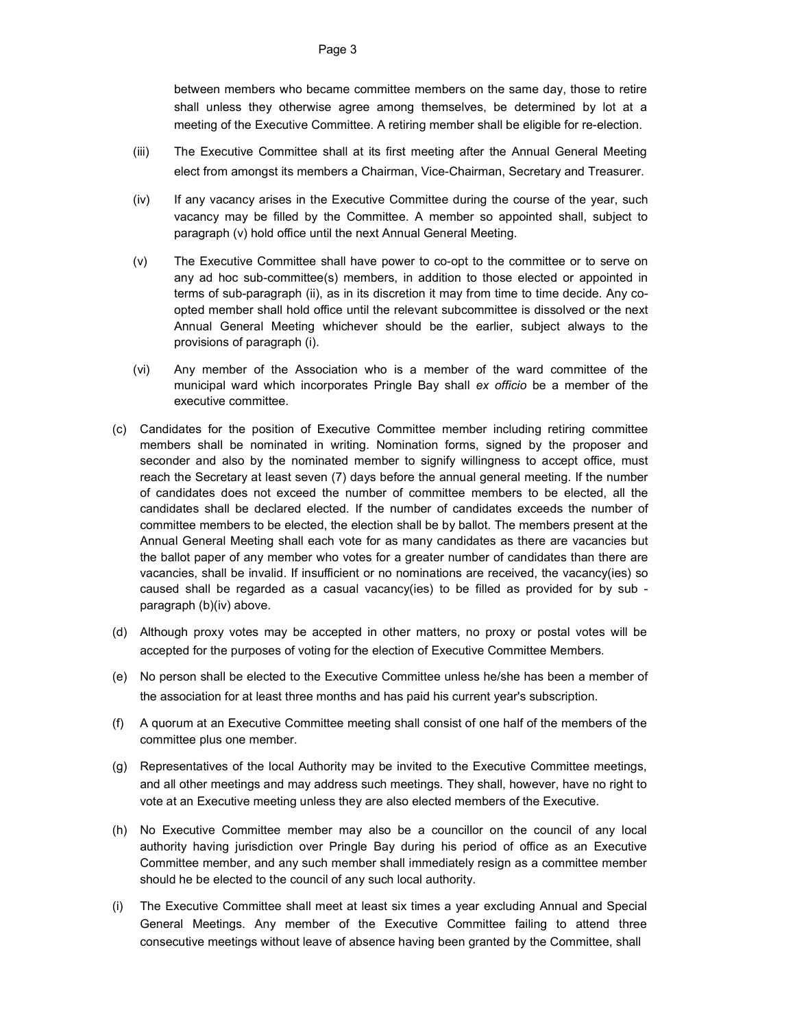between members who became committee members on the same day, those to retire shall unless they otherwise agree among themselves, be determined by lot at a meeting of the Executive Committee. A retiring member shall be eligible for re-election.

- (iii) The Executive Committee shall at its first meeting after the Annual General Meeting elect from amongst its members a Chairman, Vice-Chairman, Secretary and Treasurer.
- (iv) If any vacancy arises in the Executive Committee during the course of the year, such vacancy may be filled by the Committee. A member so appointed shall, subject to paragraph (v) hold office until the next Annual General Meeting.
- (v) The Executive Committee shall have power to co-opt to the committee or to serve on any ad hoc sub-committee(s) members, in addition to those elected or appointed in terms of sub-paragraph (ii), as in its discretion it may from time to time decide. Any coopted member shall hold office until the relevant subcommittee is dissolved or the next Annual General Meeting whichever should be the earlier, subject always to the provisions of paragraph (i).
- (vi) Any member of the Association who is a member of the ward committee of the municipal ward which incorporates Pringle Bay shall ex officio be a member of the executive committee.
- (c) Candidates for the position of Executive Committee member including retiring committee members shall be nominated in writing. Nomination forms, signed by the proposer and seconder and also by the nominated member to signify willingness to accept office, must reach the Secretary at least seven (7) days before the annual general meeting. If the number of candidates does not exceed the number of committee members to be elected, all the candidates shall be declared elected. If the number of candidates exceeds the number of committee members to be elected, the election shall be by ballot. The members present at the Annual General Meeting shall each vote for as many candidates as there are vacancies but the ballot paper of any member who votes for a greater number of candidates than there are vacancies, shall be invalid. If insufficient or no nominations are received, the vacancy(ies) so caused shall be regarded as a casual vacancy(ies) to be filled as provided for by sub paragraph (b)(iv) above.
- (d) Although proxy votes may be accepted in other matters, no proxy or postal votes will be accepted for the purposes of voting for the election of Executive Committee Members.
- (e) No person shall be elected to the Executive Committee unless he/she has been a member of the association for at least three months and has paid his current year's subscription.
- (f) A quorum at an Executive Committee meeting shall consist of one half of the members of the committee plus one member.
- (g) Representatives of the local Authority may be invited to the Executive Committee meetings, and all other meetings and may address such meetings. They shall, however, have no right to vote at an Executive meeting unless they are also elected members of the Executive.
- (h) No Executive Committee member may also be a councillor on the council of any local authority having jurisdiction over Pringle Bay during his period of office as an Executive Committee member, and any such member shall immediately resign as a committee member should he be elected to the council of any such local authority.
- (i) The Executive Committee shall meet at least six times a year excluding Annual and Special General Meetings. Any member of the Executive Committee failing to attend three consecutive meetings without leave of absence having been granted by the Committee, shall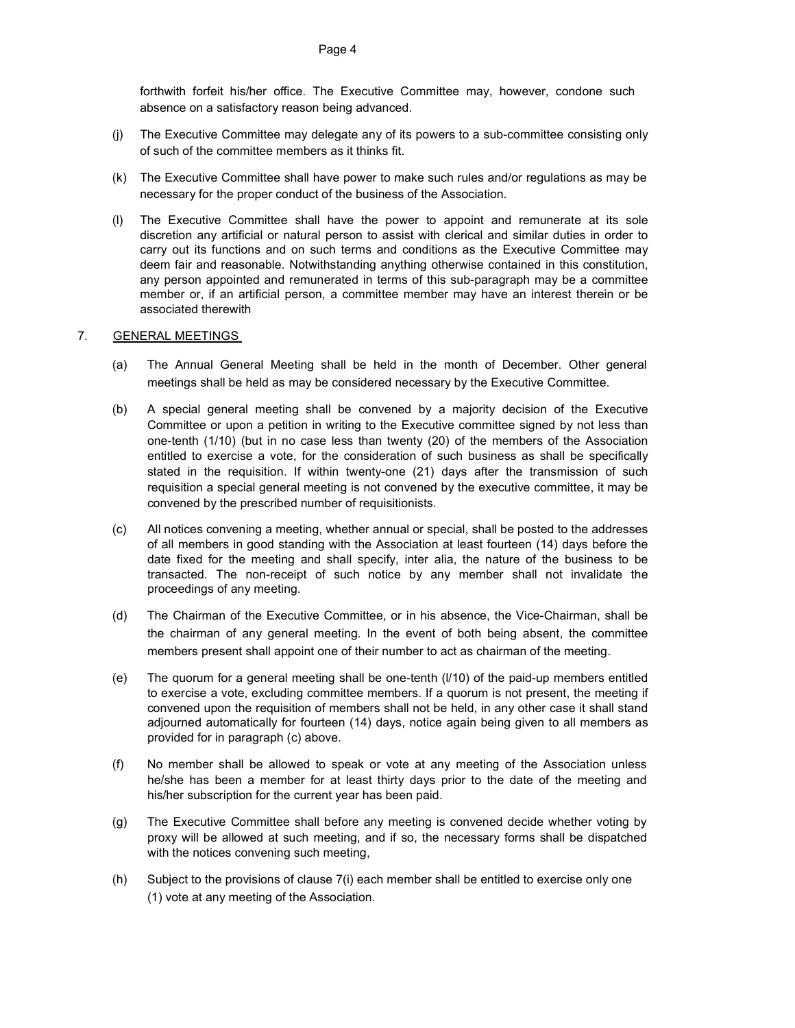forthwith forfeit his/her office. The Executive Committee may, however, condone such absence on a satisfactory reason being advanced.

- (j) The Executive Committee may delegate any of its powers to a sub-committee consisting only of such of the committee members as it thinks fit.
- (k) The Executive Committee shall have power to make such rules and/or regulations as may be necessary for the proper conduct of the business of the Association.
- (l) The Executive Committee shall have the power to appoint and remunerate at its sole discretion any artificial or natural person to assist with clerical and similar duties in order to carry out its functions and on such terms and conditions as the Executive Committee may deem fair and reasonable. Notwithstanding anything otherwise contained in this constitution, any person appointed and remunerated in terms of this sub-paragraph may be a committee member or, if an artificial person, a committee member may have an interest therein or be associated therewith

#### 7. GENERAL MEETINGS

- (a) The Annual General Meeting shall be held in the month of December. Other general meetings shall be held as may be considered necessary by the Executive Committee.
- (b) A special general meeting shall be convened by a majority decision of the Executive Committee or upon a petition in writing to the Executive committee signed by not less than one-tenth (1/10) (but in no case less than twenty (20) of the members of the Association entitled to exercise a vote, for the consideration of such business as shall be specifically stated in the requisition. If within twenty-one (21) days after the transmission of such requisition a special general meeting is not convened by the executive committee, it may be convened by the prescribed number of requisitionists.
- (c) All notices convening a meeting, whether annual or special, shall be posted to the addresses of all members in good standing with the Association at least fourteen (14) days before the date fixed for the meeting and shall specify, inter alia, the nature of the business to be transacted. The non-receipt of such notice by any member shall not invalidate the proceedings of any meeting.
- (d) The Chairman of the Executive Committee, or in his absence, the Vice-Chairman, shall be the chairman of any general meeting. In the event of both being absent, the committee members present shall appoint one of their number to act as chairman of the meeting.
- (e) The quorum for a general meeting shall be one-tenth (l/10) of the paid-up members entitled to exercise a vote, excluding committee members. If a quorum is not present, the meeting if convened upon the requisition of members shall not be held, in any other case it shall stand adjourned automatically for fourteen (14) days, notice again being given to all members as provided for in paragraph (c) above.
- (f) No member shall be allowed to speak or vote at any meeting of the Association unless he/she has been a member for at least thirty days prior to the date of the meeting and his/her subscription for the current year has been paid.
- (g) The Executive Committee shall before any meeting is convened decide whether voting by proxy will be allowed at such meeting, and if so, the necessary forms shall be dispatched with the notices convening such meeting,
- (h) Subject to the provisions of clause 7(i) each member shall be entitled to exercise only one (1) vote at any meeting of the Association.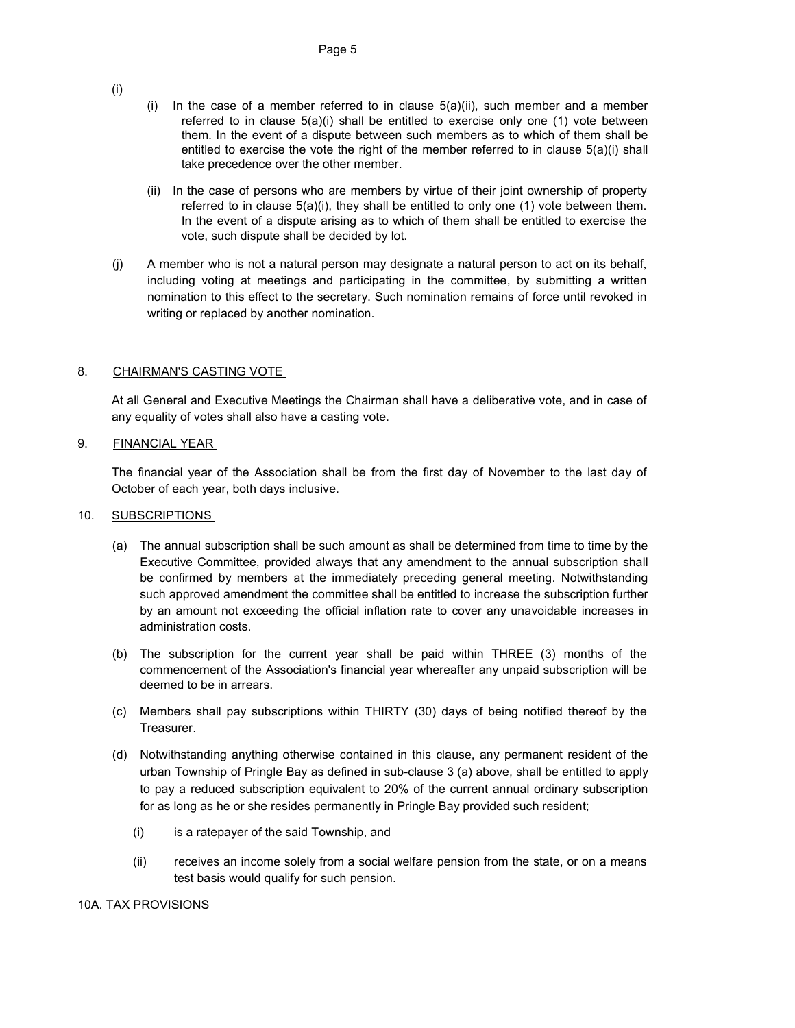- (i)
- (i) In the case of a member referred to in clause  $5(a)(ii)$ , such member and a member referred to in clause  $5(a)(i)$  shall be entitled to exercise only one (1) vote between them. In the event of a dispute between such members as to which of them shall be entitled to exercise the vote the right of the member referred to in clause  $5(a)(i)$  shall take precedence over the other member.
- (ii) In the case of persons who are members by virtue of their joint ownership of property referred to in clause 5(a)(i), they shall be entitled to only one (1) vote between them. In the event of a dispute arising as to which of them shall be entitled to exercise the vote, such dispute shall be decided by lot.
- (j) A member who is not a natural person may designate a natural person to act on its behalf, including voting at meetings and participating in the committee, by submitting a written nomination to this effect to the secretary. Such nomination remains of force until revoked in writing or replaced by another nomination.

# 8. CHAIRMAN'S CASTING VOTE

At all General and Executive Meetings the Chairman shall have a deliberative vote, and in case of any equality of votes shall also have a casting vote.

## 9. FINANCIAL YEAR

The financial year of the Association shall be from the first day of November to the last day of October of each year, both days inclusive.

#### 10. SUBSCRIPTIONS

- (a) The annual subscription shall be such amount as shall be determined from time to time by the Executive Committee, provided always that any amendment to the annual subscription shall be confirmed by members at the immediately preceding general meeting. Notwithstanding such approved amendment the committee shall be entitled to increase the subscription further by an amount not exceeding the official inflation rate to cover any unavoidable increases in administration costs.
- (b) The subscription for the current year shall be paid within THREE (3) months of the commencement of the Association's financial year whereafter any unpaid subscription will be deemed to be in arrears.
- (c) Members shall pay subscriptions within THIRTY (30) days of being notified thereof by the Treasurer.
- (d) Notwithstanding anything otherwise contained in this clause, any permanent resident of the urban Township of Pringle Bay as defined in sub-clause 3 (a) above, shall be entitled to apply to pay a reduced subscription equivalent to 20% of the current annual ordinary subscription for as long as he or she resides permanently in Pringle Bay provided such resident;
	- (i) is a ratepayer of the said Township, and
	- (ii) receives an income solely from a social welfare pension from the state, or on a means test basis would qualify for such pension.

## 10A. TAX PROVISIONS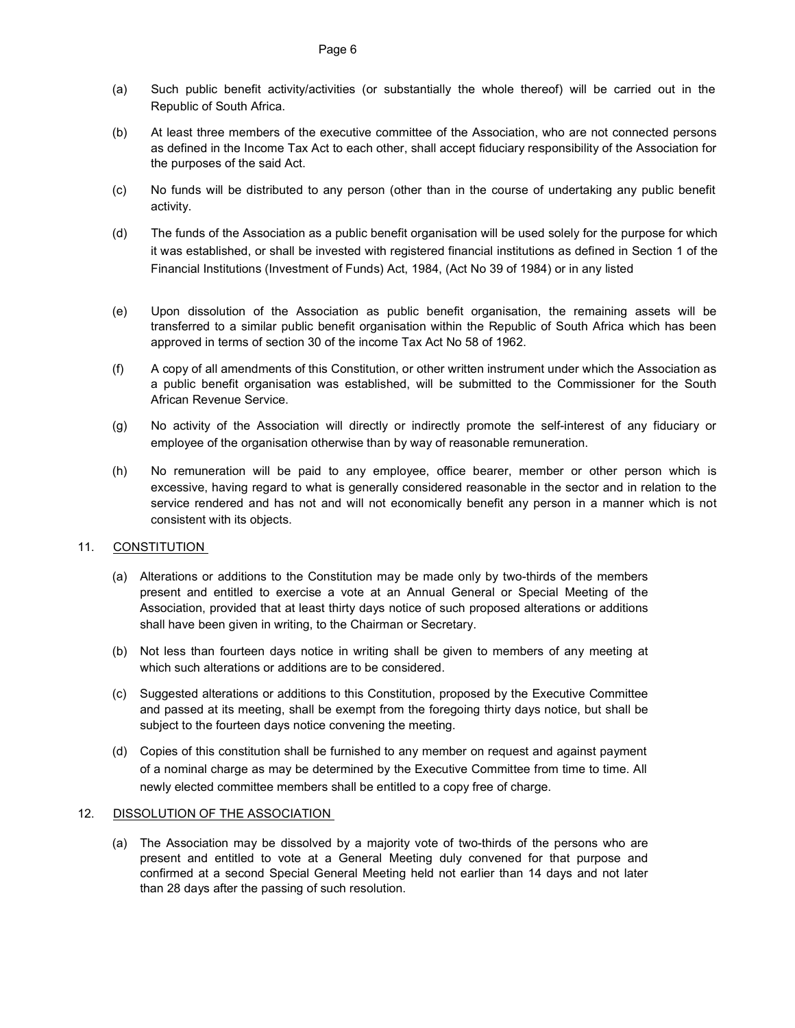- (a) Such public benefit activity/activities (or substantially the whole thereof) will be carried out in the Republic of South Africa.
- (b) At least three members of the executive committee of the Association, who are not connected persons as defined in the Income Tax Act to each other, shall accept fiduciary responsibility of the Association for the purposes of the said Act.
- (c) No funds will be distributed to any person (other than in the course of undertaking any public benefit activity.
- (d) The funds of the Association as a public benefit organisation will be used solely for the purpose for which it was established, or shall be invested with registered financial institutions as defined in Section 1 of the Financial Institutions (Investment of Funds) Act, 1984, (Act No 39 of 1984) or in any listed
- (e) Upon dissolution of the Association as public benefit organisation, the remaining assets will be transferred to a similar public benefit organisation within the Republic of South Africa which has been approved in terms of section 30 of the income Tax Act No 58 of 1962.
- (f) A copy of all amendments of this Constitution, or other written instrument under which the Association as a public benefit organisation was established, will be submitted to the Commissioner for the South African Revenue Service.
- (g) No activity of the Association will directly or indirectly promote the self-interest of any fiduciary or employee of the organisation otherwise than by way of reasonable remuneration.
- (h) No remuneration will be paid to any employee, office bearer, member or other person which is excessive, having regard to what is generally considered reasonable in the sector and in relation to the service rendered and has not and will not economically benefit any person in a manner which is not consistent with its objects.

## 11. CONSTITUTION

- (a) Alterations or additions to the Constitution may be made only by two-thirds of the members present and entitled to exercise a vote at an Annual General or Special Meeting of the Association, provided that at least thirty days notice of such proposed alterations or additions shall have been given in writing, to the Chairman or Secretary.
- (b) Not less than fourteen days notice in writing shall be given to members of any meeting at which such alterations or additions are to be considered.
- (c) Suggested alterations or additions to this Constitution, proposed by the Executive Committee and passed at its meeting, shall be exempt from the foregoing thirty days notice, but shall be subject to the fourteen days notice convening the meeting.
- (d) Copies of this constitution shall be furnished to any member on request and against payment of a nominal charge as may be determined by the Executive Committee from time to time. All newly elected committee members shall be entitled to a copy free of charge.

#### 12. DISSOLUTION OF THE ASSOCIATION

(a) The Association may be dissolved by a majority vote of two-thirds of the persons who are present and entitled to vote at a General Meeting duly convened for that purpose and confirmed at a second Special General Meeting held not earlier than 14 days and not later than 28 days after the passing of such resolution.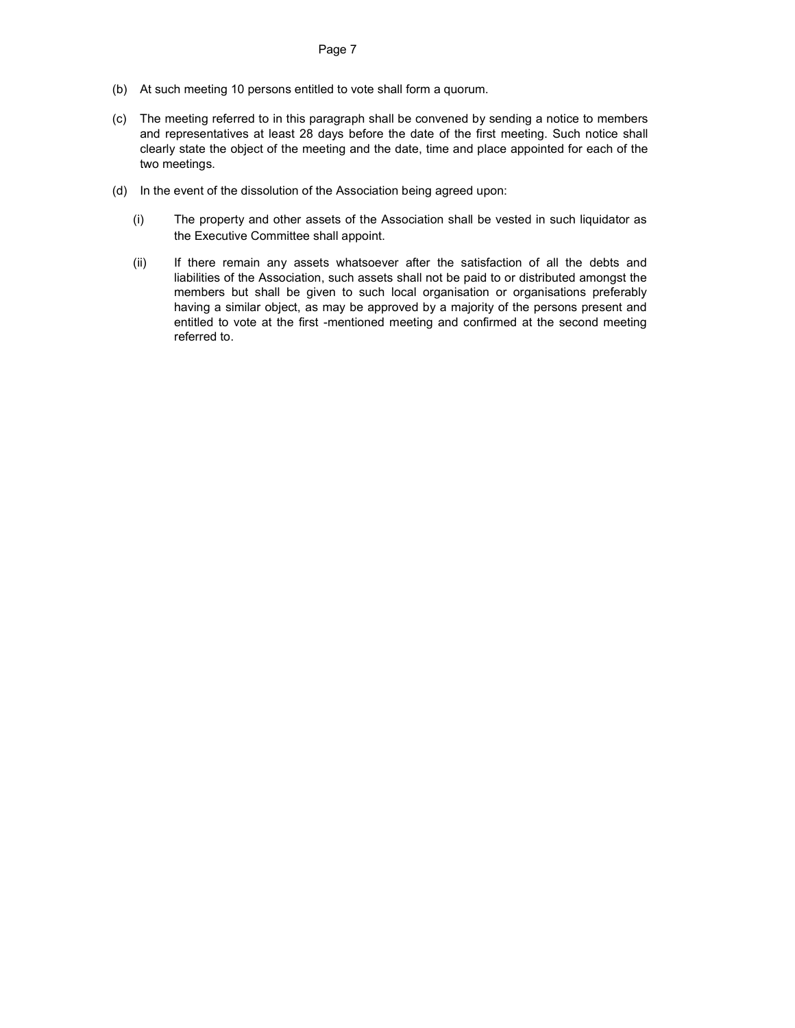- (b) At such meeting 10 persons entitled to vote shall form a quorum.
- (c) The meeting referred to in this paragraph shall be convened by sending a notice to members and representatives at least 28 days before the date of the first meeting. Such notice shall clearly state the object of the meeting and the date, time and place appointed for each of the two meetings.
- (d) In the event of the dissolution of the Association being agreed upon:
	- (i) The property and other assets of the Association shall be vested in such liquidator as the Executive Committee shall appoint.
	- (ii) If there remain any assets whatsoever after the satisfaction of all the debts and liabilities of the Association, such assets shall not be paid to or distributed amongst the members but shall be given to such local organisation or organisations preferably having a similar object, as may be approved by a majority of the persons present and entitled to vote at the first -mentioned meeting and confirmed at the second meeting referred to.